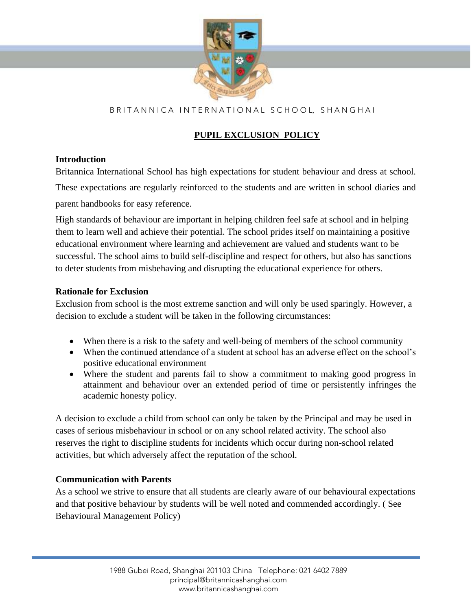

# B R I T A N N I C A I N T E R N A T I O N A L S C H O O L, S H A N G H A I

## **PUPIL EXCLUSION POLICY**

#### **Introduction**

Britannica International School has high expectations for student behaviour and dress at school. These expectations are regularly reinforced to the students and are written in school diaries and parent handbooks for easy reference.

High standards of behaviour are important in helping children feel safe at school and in helping them to learn well and achieve their potential. The school prides itself on maintaining a positive educational environment where learning and achievement are valued and students want to be successful. The school aims to build self-discipline and respect for others, but also has sanctions to deter students from misbehaving and disrupting the educational experience for others.

#### **Rationale for Exclusion**

Exclusion from school is the most extreme sanction and will only be used sparingly. However, a decision to exclude a student will be taken in the following circumstances:

- When there is a risk to the safety and well-being of members of the school community
- When the continued attendance of a student at school has an adverse effect on the school's positive educational environment
- Where the student and parents fail to show a commitment to making good progress in attainment and behaviour over an extended period of time or persistently infringes the academic honesty policy.

A decision to exclude a child from school can only be taken by the Principal and may be used in cases of serious misbehaviour in school or on any school related activity. The school also reserves the right to discipline students for incidents which occur during non-school related activities, but which adversely affect the reputation of the school.

### **Communication with Parents**

As a school we strive to ensure that all students are clearly aware of our behavioural expectations and that positive behaviour by students will be well noted and commended accordingly. ( See Behavioural Management Policy)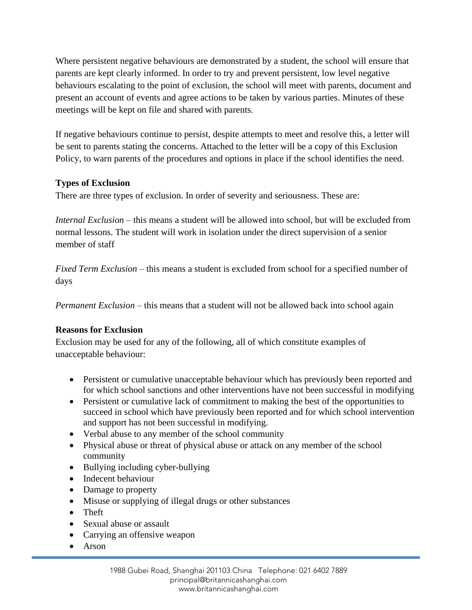Where persistent negative behaviours are demonstrated by a student, the school will ensure that parents are kept clearly informed. In order to try and prevent persistent, low level negative behaviours escalating to the point of exclusion, the school will meet with parents, document and present an account of events and agree actions to be taken by various parties. Minutes of these meetings will be kept on file and shared with parents.

If negative behaviours continue to persist, despite attempts to meet and resolve this, a letter will be sent to parents stating the concerns. Attached to the letter will be a copy of this Exclusion Policy, to warn parents of the procedures and options in place if the school identifies the need.

### **Types of Exclusion**

There are three types of exclusion. In order of severity and seriousness. These are:

*Internal Exclusion* – this means a student will be allowed into school, but will be excluded from normal lessons. The student will work in isolation under the direct supervision of a senior member of staff

*Fixed Term Exclusion* – this means a student is excluded from school for a specified number of days

*Permanent Exclusion* – this means that a student will not be allowed back into school again

### **Reasons for Exclusion**

Exclusion may be used for any of the following, all of which constitute examples of unacceptable behaviour:

- Persistent or cumulative unacceptable behaviour which has previously been reported and for which school sanctions and other interventions have not been successful in modifying
- Persistent or cumulative lack of commitment to making the best of the opportunities to succeed in school which have previously been reported and for which school intervention and support has not been successful in modifying.
- Verbal abuse to any member of the school community
- Physical abuse or threat of physical abuse or attack on any member of the school community
- Bullying including cyber-bullying
- Indecent behaviour
- Damage to property
- Misuse or supplying of illegal drugs or other substances
- Theft
- Sexual abuse or assault
- Carrying an offensive weapon
- Arson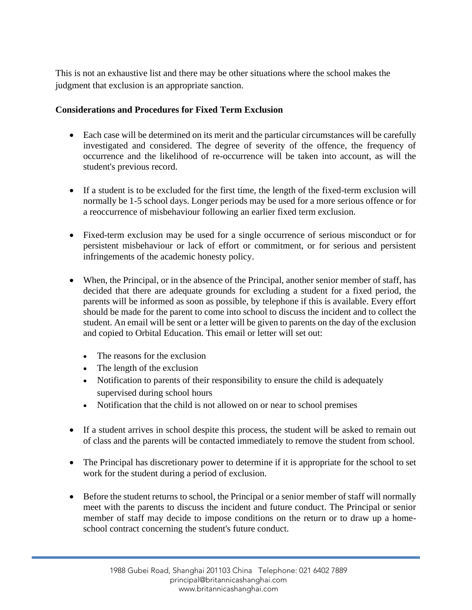This is not an exhaustive list and there may be other situations where the school makes the judgment that exclusion is an appropriate sanction.

#### **Considerations and Procedures for Fixed Term Exclusion**

- Each case will be determined on its merit and the particular circumstances will be carefully investigated and considered. The degree of severity of the offence, the frequency of occurrence and the likelihood of re-occurrence will be taken into account, as will the student's previous record.
- If a student is to be excluded for the first time, the length of the fixed-term exclusion will normally be 1-5 school days. Longer periods may be used for a more serious offence or for a reoccurrence of misbehaviour following an earlier fixed term exclusion.
- Fixed-term exclusion may be used for a single occurrence of serious misconduct or for persistent misbehaviour or lack of effort or commitment, or for serious and persistent infringements of the academic honesty policy.
- When, the Principal, or in the absence of the Principal, another senior member of staff, has decided that there are adequate grounds for excluding a student for a fixed period, the parents will be informed as soon as possible, by telephone if this is available. Every effort should be made for the parent to come into school to discuss the incident and to collect the student. An email will be sent or a letter will be given to parents on the day of the exclusion and copied to Orbital Education. This email or letter will set out:
	- The reasons for the exclusion
	- The length of the exclusion
	- Notification to parents of their responsibility to ensure the child is adequately supervised during school hours
	- Notification that the child is not allowed on or near to school premises
- If a student arrives in school despite this process, the student will be asked to remain out of class and the parents will be contacted immediately to remove the student from school.
- The Principal has discretionary power to determine if it is appropriate for the school to set work for the student during a period of exclusion.
- Before the student returns to school, the Principal or a senior member of staff will normally meet with the parents to discuss the incident and future conduct. The Principal or senior member of staff may decide to impose conditions on the return or to draw up a homeschool contract concerning the student's future conduct.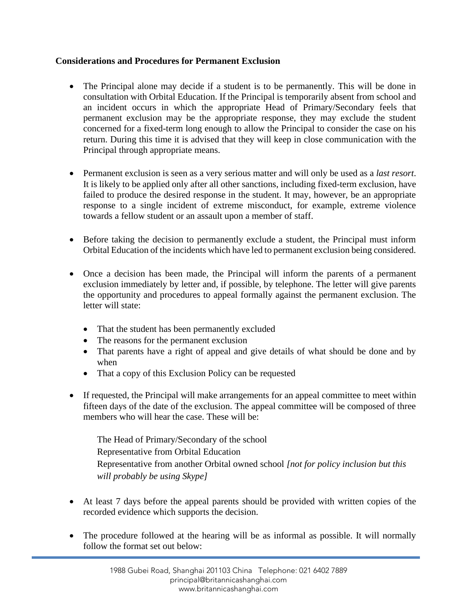#### **Considerations and Procedures for Permanent Exclusion**

- The Principal alone may decide if a student is to be permanently. This will be done in consultation with Orbital Education. If the Principal is temporarily absent from school and an incident occurs in which the appropriate Head of Primary/Secondary feels that permanent exclusion may be the appropriate response, they may exclude the student concerned for a fixed-term long enough to allow the Principal to consider the case on his return. During this time it is advised that they will keep in close communication with the Principal through appropriate means.
- Permanent exclusion is seen as a very serious matter and will only be used as a *last resort*. It is likely to be applied only after all other sanctions, including fixed-term exclusion, have failed to produce the desired response in the student. It may, however, be an appropriate response to a single incident of extreme misconduct, for example, extreme violence towards a fellow student or an assault upon a member of staff.
- Before taking the decision to permanently exclude a student, the Principal must inform Orbital Education of the incidents which have led to permanent exclusion being considered.
- Once a decision has been made, the Principal will inform the parents of a permanent exclusion immediately by letter and, if possible, by telephone. The letter will give parents the opportunity and procedures to appeal formally against the permanent exclusion. The letter will state:
	- That the student has been permanently excluded
	- The reasons for the permanent exclusion
	- That parents have a right of appeal and give details of what should be done and by when
	- That a copy of this Exclusion Policy can be requested
- If requested, the Principal will make arrangements for an appeal committee to meet within fifteen days of the date of the exclusion. The appeal committee will be composed of three members who will hear the case. These will be:

The Head of Primary/Secondary of the school Representative from Orbital Education Representative from another Orbital owned school *[not for policy inclusion but this will probably be using Skype]*

- At least 7 days before the appeal parents should be provided with written copies of the recorded evidence which supports the decision.
- The procedure followed at the hearing will be as informal as possible. It will normally follow the format set out below: